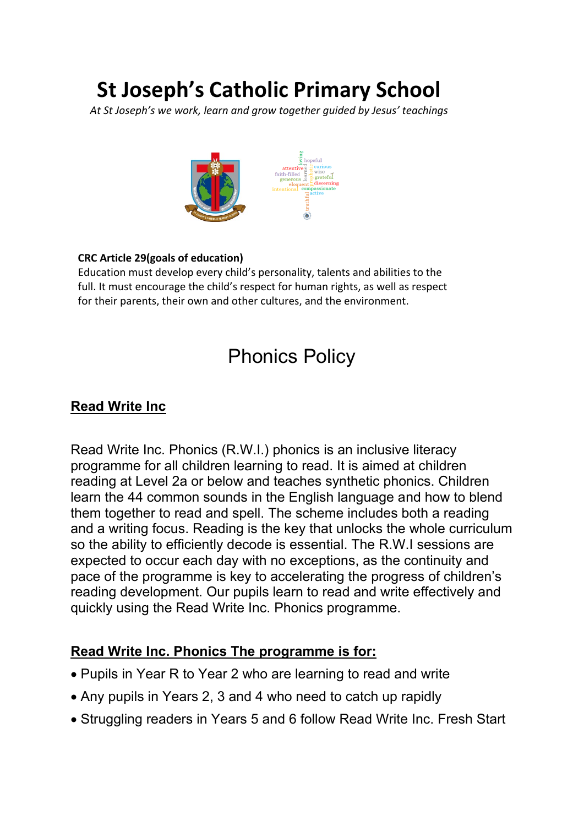# **St Joseph's Catholic Primary School**

*At St Joseph's we work, learn and grow together guided by Jesus' teachings*



#### **CRC Article 29(goals of education)**

Education must develop every child's personality, talents and abilities to the full. It must encourage the child's respect for human rights, as well as respect for their parents, their own and other cultures, and the environment.

## Phonics Policy

#### **Read Write Inc**  1.1 **Art and design stimulates creativity and imagination. It provides visual,**

Read Write Inc. Phonics (R.W.I.) phonics is an inclusive literacy **programme for all children learning to read. It is aimed at children programme for all children** reading at Level 2a or below and teaches synthetic phonics. Children learn the 44 common sounds in the English language and how to blend them together to read and spell. The scheme includes both a reading them together to read and spell. The scheme includes both a reading and a writing focus. Reading is the key that unlocks the whole curriculum so the ability to efficiently decode is essential. The R.W.I sessions are so the ability to eniclently decode is essential. The R.W.I sessions are<br>expected to occur each day with no exceptions, as the continuity and pace of the programme is key to accelerating the progress of children's reading development. Our pupils learn to read and write effectively and reading development. Our pupils learn to quickly using the Read Write Inc. Phonics programme. **example are a code and design articles** to the design of  $\mu$ 

# <u>Read Write Inc. Phonics The programme is for:</u>

- ————————————————————<br>● Pupils in Year R to Year 2 who are learning to read and write
- Any pupils in Years 2, 3 and 4 who need to catch up rapidly
- Struggling readers in Years 5 and 6 follow Read Write Inc. Fresh Start **meanings through the work of artists and designers. Through learning about**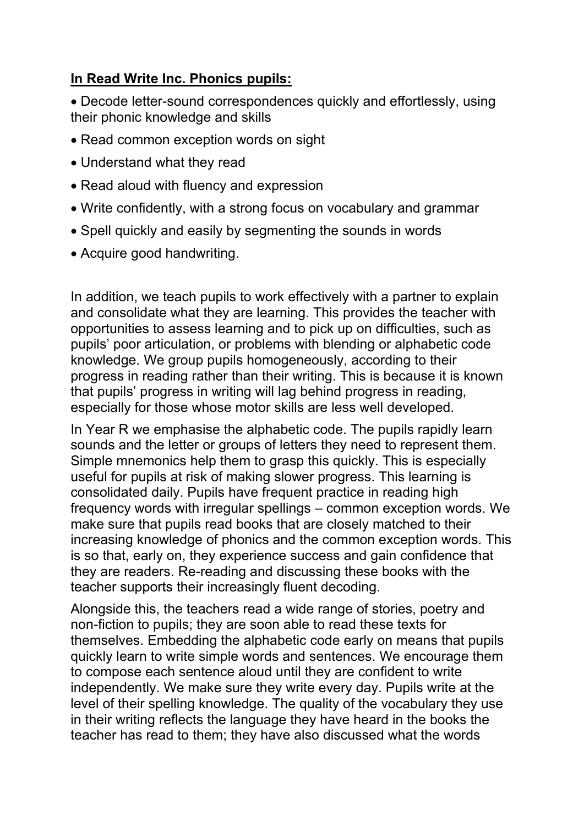#### **In Read Write Inc. Phonics pupils:**

• Decode letter-sound correspondences quickly and effortlessly, using their phonic knowledge and skills

- Read common exception words on sight
- Understand what they read
- Read aloud with fluency and expression
- Write confidently, with a strong focus on vocabulary and grammar
- Spell quickly and easily by segmenting the sounds in words
- Acquire good handwriting.

In addition, we teach pupils to work effectively with a partner to explain and consolidate what they are learning. This provides the teacher with opportunities to assess learning and to pick up on difficulties, such as pupils' poor articulation, or problems with blending or alphabetic code knowledge. We group pupils homogeneously, according to their progress in reading rather than their writing. This is because it is known that pupils' progress in writing will lag behind progress in reading, especially for those whose motor skills are less well developed.

In Year R we emphasise the alphabetic code. The pupils rapidly learn sounds and the letter or groups of letters they need to represent them. Simple mnemonics help them to grasp this quickly. This is especially useful for pupils at risk of making slower progress. This learning is consolidated daily. Pupils have frequent practice in reading high frequency words with irregular spellings – common exception words. We make sure that pupils read books that are closely matched to their increasing knowledge of phonics and the common exception words. This is so that, early on, they experience success and gain confidence that they are readers. Re-reading and discussing these books with the teacher supports their increasingly fluent decoding.

Alongside this, the teachers read a wide range of stories, poetry and non-fiction to pupils; they are soon able to read these texts for themselves. Embedding the alphabetic code early on means that pupils quickly learn to write simple words and sentences. We encourage them to compose each sentence aloud until they are confident to write independently. We make sure they write every day. Pupils write at the level of their spelling knowledge. The quality of the vocabulary they use in their writing reflects the language they have heard in the books the teacher has read to them; they have also discussed what the words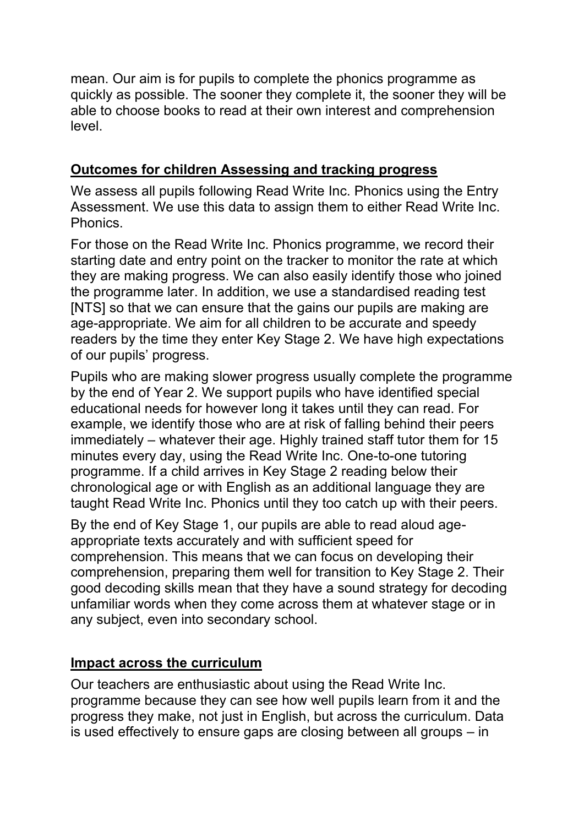mean. Our aim is for pupils to complete the phonics programme as quickly as possible. The sooner they complete it, the sooner they will be able to choose books to read at their own interest and comprehension level.

#### **Outcomes for children Assessing and tracking progress**

We assess all pupils following Read Write Inc. Phonics using the Entry Assessment. We use this data to assign them to either Read Write Inc. **Phonics** 

For those on the Read Write Inc. Phonics programme, we record their starting date and entry point on the tracker to monitor the rate at which they are making progress. We can also easily identify those who joined the programme later. In addition, we use a standardised reading test [NTS] so that we can ensure that the gains our pupils are making are age-appropriate. We aim for all children to be accurate and speedy readers by the time they enter Key Stage 2. We have high expectations of our pupils' progress.

Pupils who are making slower progress usually complete the programme by the end of Year 2. We support pupils who have identified special educational needs for however long it takes until they can read. For example, we identify those who are at risk of falling behind their peers immediately – whatever their age. Highly trained staff tutor them for 15 minutes every day, using the Read Write Inc. One-to-one tutoring programme. If a child arrives in Key Stage 2 reading below their chronological age or with English as an additional language they are taught Read Write Inc. Phonics until they too catch up with their peers.

By the end of Key Stage 1, our pupils are able to read aloud ageappropriate texts accurately and with sufficient speed for comprehension. This means that we can focus on developing their comprehension, preparing them well for transition to Key Stage 2. Their good decoding skills mean that they have a sound strategy for decoding unfamiliar words when they come across them at whatever stage or in any subject, even into secondary school.

#### **Impact across the curriculum**

Our teachers are enthusiastic about using the Read Write Inc. programme because they can see how well pupils learn from it and the progress they make, not just in English, but across the curriculum. Data is used effectively to ensure gaps are closing between all groups – in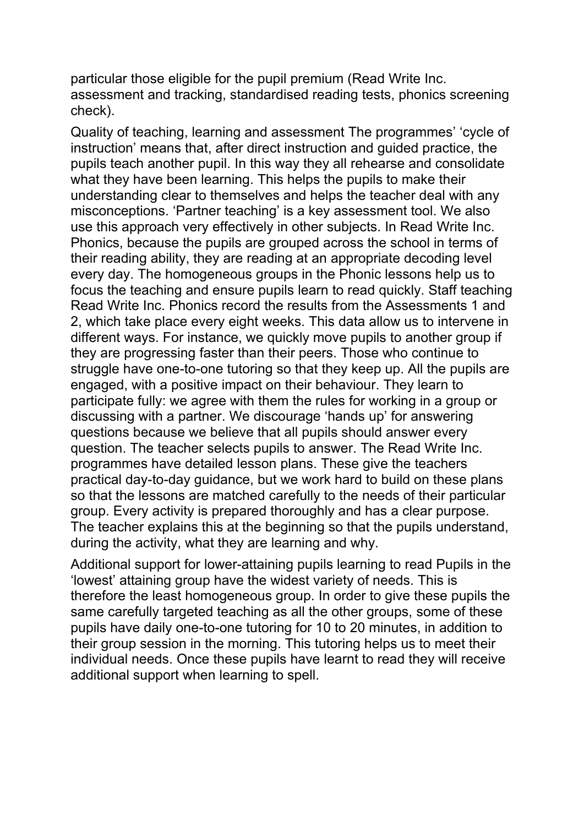particular those eligible for the pupil premium (Read Write Inc. assessment and tracking, standardised reading tests, phonics screening check).

Quality of teaching, learning and assessment The programmes' 'cycle of instruction' means that, after direct instruction and guided practice, the pupils teach another pupil. In this way they all rehearse and consolidate what they have been learning. This helps the pupils to make their understanding clear to themselves and helps the teacher deal with any misconceptions. 'Partner teaching' is a key assessment tool. We also use this approach very effectively in other subjects. In Read Write Inc. Phonics, because the pupils are grouped across the school in terms of their reading ability, they are reading at an appropriate decoding level every day. The homogeneous groups in the Phonic lessons help us to focus the teaching and ensure pupils learn to read quickly. Staff teaching Read Write Inc. Phonics record the results from the Assessments 1 and 2, which take place every eight weeks. This data allow us to intervene in different ways. For instance, we quickly move pupils to another group if they are progressing faster than their peers. Those who continue to struggle have one-to-one tutoring so that they keep up. All the pupils are engaged, with a positive impact on their behaviour. They learn to participate fully: we agree with them the rules for working in a group or discussing with a partner. We discourage 'hands up' for answering questions because we believe that all pupils should answer every question. The teacher selects pupils to answer. The Read Write Inc. programmes have detailed lesson plans. These give the teachers practical day-to-day guidance, but we work hard to build on these plans so that the lessons are matched carefully to the needs of their particular group. Every activity is prepared thoroughly and has a clear purpose. The teacher explains this at the beginning so that the pupils understand, during the activity, what they are learning and why.

Additional support for lower-attaining pupils learning to read Pupils in the 'lowest' attaining group have the widest variety of needs. This is therefore the least homogeneous group. In order to give these pupils the same carefully targeted teaching as all the other groups, some of these pupils have daily one-to-one tutoring for 10 to 20 minutes, in addition to their group session in the morning. This tutoring helps us to meet their individual needs. Once these pupils have learnt to read they will receive additional support when learning to spell.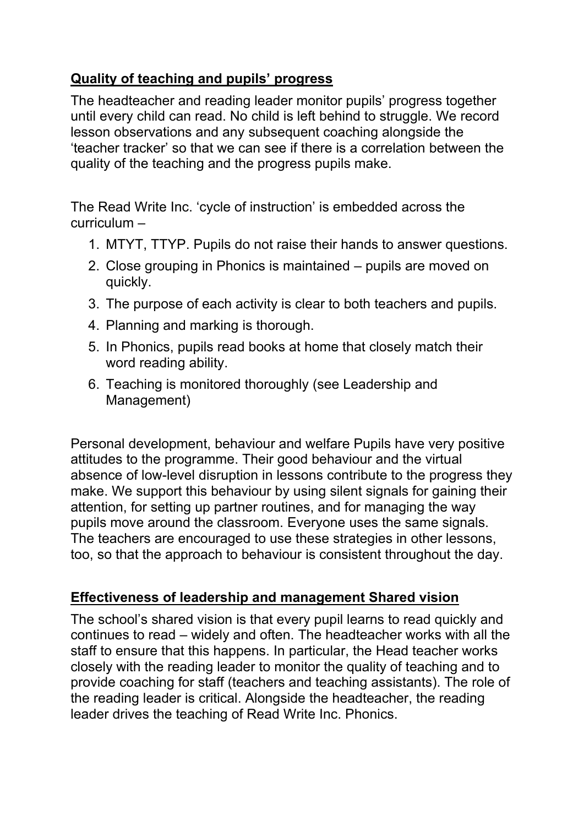### **Quality of teaching and pupils' progress**

The headteacher and reading leader monitor pupils' progress together until every child can read. No child is left behind to struggle. We record lesson observations and any subsequent coaching alongside the 'teacher tracker' so that we can see if there is a correlation between the quality of the teaching and the progress pupils make.

The Read Write Inc. 'cycle of instruction' is embedded across the curriculum –

- 1. MTYT, TTYP. Pupils do not raise their hands to answer questions.
- 2. Close grouping in Phonics is maintained pupils are moved on quickly.
- 3. The purpose of each activity is clear to both teachers and pupils.
- 4. Planning and marking is thorough.
- 5. In Phonics, pupils read books at home that closely match their word reading ability.
- 6. Teaching is monitored thoroughly (see Leadership and Management)

Personal development, behaviour and welfare Pupils have very positive attitudes to the programme. Their good behaviour and the virtual absence of low-level disruption in lessons contribute to the progress they make. We support this behaviour by using silent signals for gaining their attention, for setting up partner routines, and for managing the way pupils move around the classroom. Everyone uses the same signals. The teachers are encouraged to use these strategies in other lessons, too, so that the approach to behaviour is consistent throughout the day.

#### **Effectiveness of leadership and management Shared vision**

The school's shared vision is that every pupil learns to read quickly and continues to read – widely and often. The headteacher works with all the staff to ensure that this happens. In particular, the Head teacher works closely with the reading leader to monitor the quality of teaching and to provide coaching for staff (teachers and teaching assistants). The role of the reading leader is critical. Alongside the headteacher, the reading leader drives the teaching of Read Write Inc. Phonics.